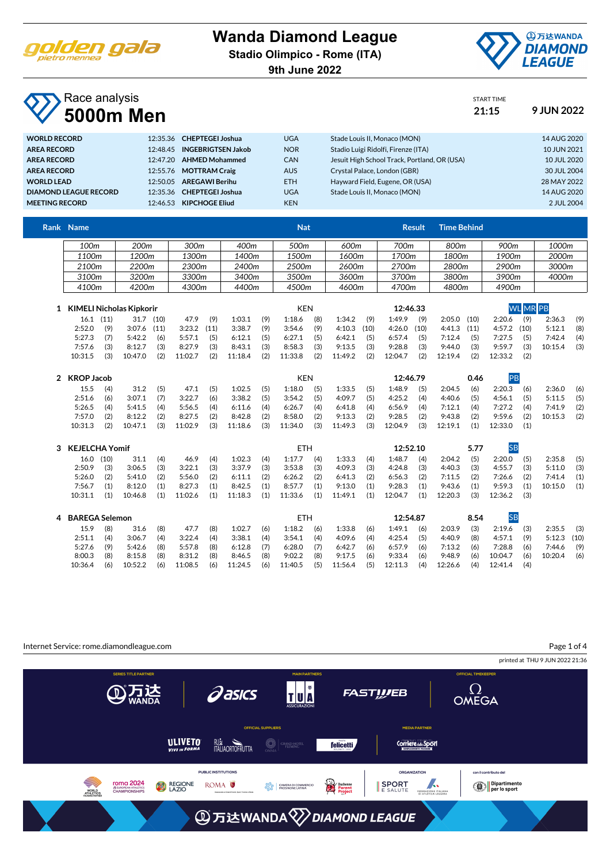

#### **Wanda Diamond League**

**Stadio Olimpico - Rome (ITA)**

**9th June 2022**



START TIME

#### Race analysis **5000m Men 21:15 9 JUN 2022**

| <b>WORLD RECORD</b>   |          | 12:35.36 CHEPTEGEI Joshua   | <b>UGA</b> | Stade Louis II, Monaco (MON)                 | 14 AUG 2020 |
|-----------------------|----------|-----------------------------|------------|----------------------------------------------|-------------|
| <b>AREA RECORD</b>    |          | 12:48.45 INGEBRIGTSEN Jakob | <b>NOR</b> | Stadio Luigi Ridolfi, Firenze (ITA)          | 10 JUN 2021 |
| <b>AREA RECORD</b>    |          | 12:47.20 AHMED Mohammed     | <b>CAN</b> | Jesuit High School Track, Portland, OR (USA) | 10 JUL 2020 |
| <b>AREA RECORD</b>    |          | 12:55.76 MOTTRAM Craig      | <b>AUS</b> | Crystal Palace, London (GBR)                 | 30 JUL 2004 |
| <b>WORLD LEAD</b>     | 12:50.05 | <b>AREGAWI Berihu</b>       | <b>ETH</b> | Hayward Field, Eugene, OR (USA)              | 28 MAY 2022 |
| DIAMOND LEAGUE RECORD |          | 12:35.36 CHEPTEGEI Joshua   | <b>UGA</b> | Stade Louis II. Monaco (MON)                 | 14 AUG 2020 |
| <b>MEETING RECORD</b> |          | 12:46.53 KIPCHOGE Eliud     | <b>KEN</b> |                                              | 2 JUL 2004  |
|                       |          |                             |            |                                              |             |

| Rank Name |       |       |       | <b>Nat</b> |       | Result | Time Behind |                  |       |
|-----------|-------|-------|-------|------------|-------|--------|-------------|------------------|-------|
| 100m      | 200m  | 300m  | 400m  | 500m       | 600m  | 700m   | 800m        | 900 <sub>m</sub> | 1000m |
| 1100m     | 1200m | 1300m | 1400m | 1500m      | 1600m | 1700m  | 1800m       | 1900m            | 2000m |
| 2100m     | ?200m | 2300m | 2400m | 2500m      | 2600m | 2700m  | 2800m       | 2900m            | 3000m |
| 3100m     | 3200m | 3300m | 3400m | 3500m      | 3600m | 3700m  | 3800m       | 3900m            | 4000m |
| 4100m     | 4200m | 4300m | 4400m | 4500m      | 4600m | 4700m  | 4800m       | 4900m            |       |

| KIMELI Nicholas Kipkorir |     |               |      |         |      |         |     | KEN     |     |               | 12:46.33 |               |     |               |      | <b>WLMRPB</b> |     |         |     |  |
|--------------------------|-----|---------------|------|---------|------|---------|-----|---------|-----|---------------|----------|---------------|-----|---------------|------|---------------|-----|---------|-----|--|
| $16.1$ (11)              |     | 31.7          | (10) | 47.9    | (9)  | 1:03.1  | (9) | 1:18.6  | (8) | 1:34.2        | (9)      | 1:49.9        | (9) | 2:05.0        | (10) | 2:20.6        | (9) | 2:36.3  | (9) |  |
| 2:52.0                   | (9) | $3:07.6$ (11) |      | 3:23.2  | (11) | 3:38.7  | (9) | 3:54.6  | (9) | $4:10.3$ (10) |          | $4:26.0$ (10) |     | $4:41.3$ (11) |      | $4:57.2$ (10) |     | 5:12.1  | (8) |  |
| 5:27.3                   |     | 5:42.2        | (6)  | 5:57.1  | (5)  | 6:12.1  | (5) | 6:27.1  | (5) | 6:42.1        | (5)      | 6:57.4        | (5) | 7:12.4        | (5)  | 7:27.5        | (5) | 7:42.4  | (4) |  |
| 7:57.6                   |     | 8:12.7        | (3)  | 8:27.9  | (3)  | 8:43.1  | (3) | 8:58.3  | (3) | 9:13.5        | (3)      | 9:28.8        | (3) | 9:44.0        | (3)  | 9:59.7        | (3) | 10:15.4 | (3) |  |
| 10:31.5                  | (3) | 10:47.0       | (2)  | 11:02.7 | (2)  | 11:18.4 | (2) | 11:33.8 | (2) | 11:49.2       | (2)      | 12:04.7       | (2) | 12:19.4       | (2)  | 12:33.2       | (2) |         |     |  |

| KROP Jacob |     |         |     |         |     |         |     | <b>KEN</b> |     |         |     | 12:46.79 |     |         | 0.46 |         |     |         |     |
|------------|-----|---------|-----|---------|-----|---------|-----|------------|-----|---------|-----|----------|-----|---------|------|---------|-----|---------|-----|
| 15.5       | (4) | 31.2    | (5) | 47.1    | (5) | 1:02.5  | (5) | 1:18.0     | (5) | 1:33.5  | (5) | 1:48.9   | (5) | 2:04.5  | (6)  | 2:20.3  | (6) | 2:36.0  | (6) |
| 2:51.6     | (6) | 3:07.1  | (7) | 3:22.7  | (6) | 3:38.2  | (5) | 3:54.2     | (5) | 4:09.7  | (5) | 4:25.2   | (4) | 4:40.6  | (5)  | 4:56.1  | (5) | 5:11.5  | (5) |
| 5:26.5     | (4) | 5:41.5  | (4) | 5:56.5  | (4) | 6:11.6  | (4) | 6:26.7     | (4) | 6:41.8  | (4) | 6:56.9   | (4) | 7:12.1  | (4)  | 7:27.2  | (4) | 7:41.9  | (2) |
| 7:57.0     | (2) | 8:12.2  | (2) | 8:27.5  | (2) | 8:42.8  | (2) | 8:58.0     | (2) | 9:13.3  | (2) | 9:28.5   | (2) | 9:43.8  | (2)  | 9:59.6  | (2) | 10:15.3 | (2) |
| 10:31.3    | (2) | 10:47.1 | (3) | 11:02.9 | (3) | 11:18.6 | (3) | 11:34.0    | (3) | 11:49.3 | (3) | 12:04.9  | (3) | 12:19.1 | (1)  | 12:33.0 | (1) |         |     |

| KEJELCHA Yomif |      |         |     |         |     |         |     |         | ETH |         |     | 12:52.10 |     |         | 5.77 |         |     |         |     |
|----------------|------|---------|-----|---------|-----|---------|-----|---------|-----|---------|-----|----------|-----|---------|------|---------|-----|---------|-----|
| 16.0           | (10) | 31.1    | (4) | 46.9    | (4) | 1:02.3  | (4) | 1:17.7  | (4) | 1:33.3  | (4) | 1:48.7   | (4) | 2:04.2  | (5)  | 2:20.0  | (5) | 2:35.8  | (5) |
| 2:50.9         | (3)  | 3:06.5  | (3) | 3:22.1  | (3) | 3:37.9  | (3) | 3:53.8  | (3) | 4:09.3  | (3) | 4:24.8   | (3) | 4:40.3  | (3)  | 4:55.7  | (3) | 5:11.0  | (3) |
| 5:26.0         | (2)  | 5:41.0  | (2) | 5:56.0  | (2) | 6:11.1  | (2) | 6:26.2  | (2) | 6:41.3  | (2) | 6:56.3   | (2) | 7:11.5  | (2)  | 7:26.6  | (2) | 7:41.4  | (1) |
| 7:56.7         | (1)  | 8:12.0  |     | 8:27.3  | (1) | 8:42.5  | (1) | 8:57.7  | (1) | 9:13.0  | (1) | 9:28.3   | (1) | 9:43.6  | (1)  | 9:59.3  | (1) | 10:15.0 | (1) |
| 10:31.1        | (1)  | 10:46.8 | (1) | 11:02.6 | (1) | 11:18.3 | (1) | 11:33.6 | (1) | 11:49.1 | (1) | 12:04.7  | (1) | 12:20.3 | (3)  | 12:36.2 | (3) |         |     |

| <b>BAREGA Selemon</b> |     |         |     |         |     |         |     | ETH     |     |         |     | 12:54.87 |     |         | 8.54 |         |     |         |      |
|-----------------------|-----|---------|-----|---------|-----|---------|-----|---------|-----|---------|-----|----------|-----|---------|------|---------|-----|---------|------|
|                       |     |         |     |         |     |         |     |         |     |         |     |          |     |         |      |         |     |         |      |
| 15.9                  | (8) | 31.6    | (8) | 47.7    | (8) | 1:02.7  | (6) | 1:18.2  | (6) | 1:33.8  | (6) | 1:49.1   | (6) | 2:03.9  | (3)  | 2:19.6  | (3) | 2:35.5  | (3)  |
| 2:51.1                | (4) | 3:06.7  | (4) | 3:22.4  | (4) | 3:38.1  | (4) | 3:54.1  | (4) | 4:09.6  | (4) | 4:25.4   | (5) | 4:40.9  | (8)  | 4:57.1  | (9) | 5:12.3  | (10) |
| 5:27.6                | (9) | 5:42.6  | (8) | 5:57.8  | (8) | 6:12.8  | (7) | 6:28.0  | (7) | 6:42.7  | (6) | 6:57.9   | (6) | 7:13.2  | (6)  | 7:28.8  | (6) | 7:44.6  | (9)  |
| 8:00.3                | (8) | 8:15.8  | (8) | 8:31.2  | (8) | 8:46.5  | (8) | 9:02.2  | (8) | 9:17.5  | (6) | 9:33.4   | (6) | 9:48.9  | (6)  | 10:04.7 | (6) | 10:20.4 | (6)  |
| 10:36.4               | (6) | 10:52.2 | (6) | 11:08.5 | (6) | 11:24.5 | (6) | 11:40.5 | (5) | 11:56.4 | (5) | 12:11.3  | (4) | 12:26.6 | (4)  | 12:41.4 | (4) |         |      |

Page 1 of 4Internet Service: rome.diamondleague.com printed at THU 9 JUN 2022 21:36 TU<sup>N</sup>  $\Omega$ OMEGA **Pasics ④万达 FASTWEB MEDIA PARTNER** ULIVETO **RUM**<br>ITALIAORTOFRUTTA  $\bigcirc$  GRAND HOTEL **felicetti Corriere del Sport** PUBLIC INSTITUTIONS ORGANIZATION con il contributo del **TOMA 2024**<br> **SEUROPEAN ATHLETICS**<br>
CHAMPIONSHIPS Duchenne<br>Parent<br>Project PEDERAZIONE ITALIANA Dipartimento<br>Prer lo sport Ş SPORT ROMA<sup>O</sup> REGIONE **OU CAMERA DI COMMER**<br>O<sub>NC</sub>O FROSINONE LATINA WORLD<br>ATHLETICS **AD 万达WANDA <sup>√</sup>DIAMOND LEAGUE**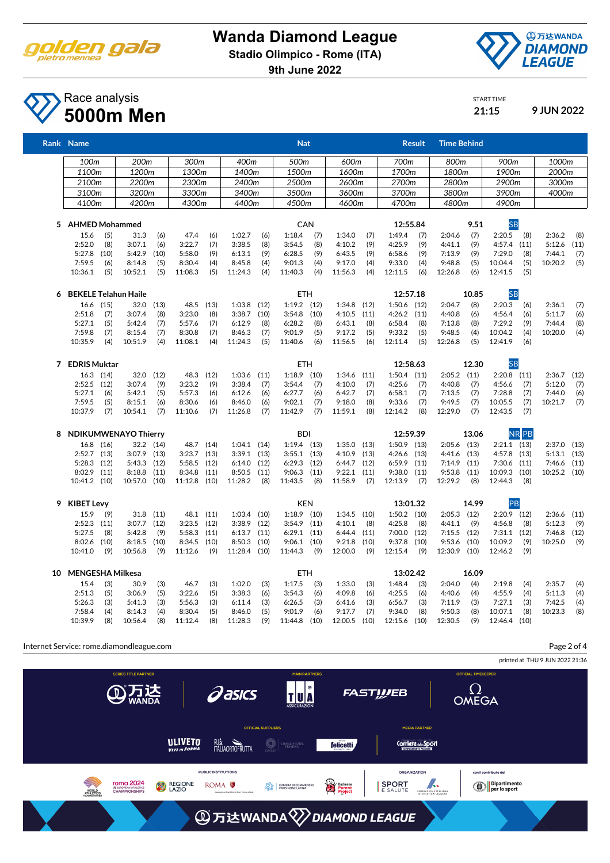

## **Wanda Diamond League**

**Stadio Olimpico - Rome (ITA)**

**9th June 2022**



Page 2 of 4

START TIME

### Race analysis **5000m Men 21:15 9 JUN 2022**

|    | Rank Name                   |            |                   |            |                   |            |                   |            | <b>Nat</b>        |            |                   |            |                   | <b>Result</b> | <b>Time Behind</b> |            |                    |              |                 |      |
|----|-----------------------------|------------|-------------------|------------|-------------------|------------|-------------------|------------|-------------------|------------|-------------------|------------|-------------------|---------------|--------------------|------------|--------------------|--------------|-----------------|------|
|    | 100m                        |            | 200m              |            | 300m              |            | 400m              |            | 500m              |            | 600m              |            | 700m              |               | 800m               |            | 900m               |              | 1000m           |      |
|    | 1100m                       |            | 1200m             |            | 1300m             |            | 1400m             |            | 1500m             |            | 1600m             |            | 1700m             |               | 1800m              |            | 1900m              |              | 2000m           |      |
|    | 2100m                       |            | 2200m             |            | 2300m             |            | 2400m             |            | 2500m             |            | 2600m             |            | 2700m             |               | 2800m              |            | 2900m              |              | 3000m           |      |
|    | 3100m                       |            | 3200m             |            | 3300m             |            | 3400m             |            | 3500m             |            | 3600m             |            | 3700m             |               | 3800m              |            | 3900m              |              | 4000m           |      |
|    | 4100m                       |            | 4200m             |            | 4300m             |            | 4400m             |            | 4500m             |            | 4600m             |            | 4700m             |               | 4800m              |            | 4900m              |              |                 |      |
|    | 5 AHMED Mohammed            |            |                   |            |                   |            |                   |            | CAN               |            |                   |            | 12:55.84          |               |                    | 9.51       | <b>SB</b>          |              |                 |      |
|    | 15.6                        | (5)        | 31.3              | (6)        | 47.4              | (6)        | 1:02.7            | (6)        | 1:18.4            | (7)        | 1:34.0            | (7)        | 1:49.4            | (7)           | 2:04.6             | (7)        | 2:20.5             | (8)          | 2:36.2          | (8)  |
|    | 2:52.0                      | (8)        | 3:07.1            | (6)        | 3:22.7            | (7)        | 3:38.5            | (8)        | 3:54.5            | (8)        | 4:10.2            | (9)        | 4:25.9            | (9)           | 4:41.1             | (9)        | 4:57.4             | (11)         | 5:12.6          | (11) |
|    | 5:27.8                      | (10)       | 5:42.9            | (10)       | 5:58.0            | (9)        | 6:13.1            | (9)        | 6:28.5            | (9)        | 6:43.5            | (9)        | 6:58.6            | (9)           | 7:13.9             | (9)        | 7:29.0             | (8)          | 7:44.1          | (7)  |
|    | 7:59.5<br>10:36.1           | (6)<br>(5) | 8:14.8<br>10:52.1 | (5)<br>(5) | 8:30.4<br>11:08.3 | (4)<br>(5) | 8:45.8<br>11:24.3 | (4)<br>(4) | 9:01.3<br>11:40.3 | (4)<br>(4) | 9:17.0<br>11:56.3 | (4)<br>(4) | 9:33.0<br>12:11.5 | (4)<br>(6)    | 9:48.8<br>12:26.8  | (5)<br>(6) | 10:04.4<br>12:41.5 | (5)<br>(5)   | 10:20.2         | (5)  |
|    |                             |            |                   |            |                   |            |                   |            |                   |            |                   |            |                   |               |                    |            |                    |              |                 |      |
| 6  | <b>BEKELE Telahun Haile</b> |            |                   |            |                   |            |                   |            | <b>ETH</b>        |            |                   |            | 12:57.18          |               |                    | 10.85      | <b>SB</b>          |              |                 |      |
|    | 16.6 (15)                   |            | 32.0              | (13)       | 48.5              | (13)       | 1:03.8            | (12)       | $1:19.2$ (12)     |            | 1:34.8            | (12)       | $1:50.6$ (12)     |               | 2:04.7             | (8)        | 2:20.3             | (6)          | 2:36.1          | (7)  |
|    | 2:51.8                      | (7)        | 3:07.4            | (8)        | 3:23.0            | (8)        | 3:38.7            | (10)       | 3:54.8            | (10)       | 4:10.5            | (11)       | $4:26.2$ $(11)$   |               | 4:40.8             | (6)        | 4:56.4             | (6)          | 5:11.7          | (6)  |
|    | 5:27.1                      | (5)        | 5:42.4            | (7)        | 5:57.6            | (7)        | 6:12.9            | (8)        | 6:28.2            | (8)        | 6:43.1            | (8)        | 6:58.4            | (8)           | 7:13.8             | (8)        | 7:29.2             | (9)          | 7:44.4          | (8)  |
|    | 7:59.8<br>10:35.9           | (7)<br>(4) | 8:15.4<br>10:51.9 | (7)<br>(4) | 8:30.8<br>11:08.1 | (7)<br>(4) | 8:46.3<br>11:24.3 | (7)<br>(5) | 9:01.9<br>11:40.6 | (5)<br>(6) | 9:17.2<br>11:56.5 | (5)<br>(6) | 9:33.2<br>12:11.4 | (5)<br>(5)    | 9:48.5<br>12:26.8  | (4)<br>(5) | 10:04.2<br>12:41.9 | (4)<br>(6)   | 10:20.0         | (4)  |
|    |                             |            |                   |            |                   |            |                   |            |                   |            |                   |            |                   |               |                    |            |                    |              |                 |      |
| 7  | <b>EDRIS Muktar</b>         |            |                   |            |                   |            |                   |            | <b>ETH</b>        |            |                   |            | 12:58.63          |               |                    | 12.30      | <b>SB</b>          |              |                 |      |
|    | $16.3$ $(14)$               |            | 32.0              | (12)       | 48.3              | (12)       | 1:03.6            | (11)       | 1:18.9            | (10)       | 1:34.6            | (11)       | $1:50.4$ $(11)$   |               | $2:05.2$ (11)      |            | $2:20.8$ (11)      |              | 2:36.7          | (12) |
|    | 2:52.5                      | (12)       | 3:07.4            | (9)        | 3:23.2            | (9)        | 3:38.4            | (7)        | 3:54.4            | (7)        | 4:10.0            | (7)        | 4:25.6            | (7)           | 4:40.8             | (7)        | 4:56.6             | (7)          | 5:12.0          | (7)  |
|    | 5:27.1                      | (6)        | 5:42.1            | (5)        | 5:57.3            | (6)        | 6:12.6            | (6)        | 6:27.7            | (6)        | 6:42.7            | (7)        | 6:58.1            | (7)           | 7:13.5             | (7)        | 7:28.8             | (7)          | 7:44.0          | (6)  |
|    | 7:59.5                      | (5)        | 8:15.1            | (6)        | 8:30.6            | (6)        | 8:46.0            | (6)        | 9:02.1            | (7)        | 9:18.0            | (8)        | 9:33.6            | (7)           | 9:49.5             | (7)        | 10:05.5            | (7)          | 10:21.7         | (7)  |
|    | 10:37.9                     | (7)        | 10:54.1           | (7)        | 11:10.6           | (7)        | 11:26.8           | (7)        | 11:42.9           | (7)        | 11:59.1           | (8)        | 12:14.2           | (8)           | 12:29.0            | (7)        | 12:43.5            | (7)          |                 |      |
| 8  | <b>NDIKUMWENAYO Thierry</b> |            |                   |            |                   |            |                   |            | <b>BDI</b>        |            |                   |            | 12:59.39          |               |                    | 13.06      |                    | <b>NR</b> PB |                 |      |
|    | 16.8 (16)                   |            | 32.2 (14)         |            | 48.7              | (14)       | $1:04.1$ $(14)$   |            | $1:19.4$ (13)     |            | 1:35.0            | (13)       | $1:50.9$ $(13)$   |               | $2:05.6$ (13)      |            | $2:21.1$ $(13)$    |              | 2:37.0          | (13) |
|    | $2:52.7$ (13)               |            | 3:07.9            | (13)       | 3:23.7            | (13)       | $3:39.1$ $(13)$   |            | $3:55.1$ (13)     |            | 4:10.9            | (13)       | $4:26.6$ $(13)$   |               | 4:41.6             | (13)       | 4:57.8             | (13)         | $5:13.1$ $(13)$ |      |
|    | $5:28.3$ (12)               |            | 5:43.3            | (12)       | 5:58.5            | (12)       | 6:14.0            | (12)       | 6:29.3            | (12)       | 6:44.7            | (12)       | 6:59.9            | (11)          | 7:14.9             | (11)       | 7:30.6             | (11)         | 7:46.6          | (11) |
|    | $8:02.9$ (11)               |            | 8:18.8            | (11)       | 8:34.8            | (11)       | 8:50.5            | (11)       | 9:06.3            | (11)       | 9:22.1            | (11)       | 9:38.0            | (11)          | 9:53.8             | (11)       | 10:09.3            | (10)         | 10:25.2 (10)    |      |
|    | 10:41.2 (10)                |            | 10:57.0 (10)      |            | 11:12.8           | (10)       | 11:28.2           | (8)        | 11:43.5           | (8)        | 11:58.9           | (7)        | 12:13.9           | (7)           | 12:29.2            | (8)        | 12:44.3            | (8)          |                 |      |
| 9  | <b>KIBET Levy</b>           |            |                   |            |                   |            |                   |            | <b>KEN</b>        |            |                   |            | 13:01.32          |               |                    | 14.99      | PB                 |              |                 |      |
|    | 15.9                        | (9)        | 31.8              | (11)       | 48.1 (11)         |            | $1:03.4$ (10)     |            | $1:18.9$ (10)     |            | $1:34.5$ (10)     |            | $1:50.2$ (10)     |               | $2:05.3$ (12)      |            | $2:20.9$ (12)      |              | $2:36.6$ (11)   |      |
|    | $2:52.3$ (11)               |            | 3:07.7            | (12)       | 3:23.5            | (12)       | 3:38.9            | (12)       | 3:54.9            | (11)       | 4:10.1            | (8)        | 4:25.8            | (8)           | 4:41.1             | (9)        | 4:56.8             | (8)          | 5:12.3          | (9)  |
|    | 5:27.5                      | (8)        | 5:42.8            | (9)        | 5:58.3            | (11)       | 6:13.7            | (11)       | 6:29.1            | (11)       | 6:44.4            | (11)       | 7:00.0            | (12)          | 7:15.5             | (12)       | $7:31.1$ (12)      |              | 7:46.8          | (12) |
|    | 8:02.6                      | (10)       | 8:18.5            | (10)       | 8:34.5            | (10)       | 8:50.3            | (10)       | 9:06.1            | (10)       | 9:21.8            | (10)       | 9:37.8            | (10)          | 9:53.6             | (10)       | 10:09.2            | (9)          | 10:25.0         | (9)  |
|    | 10:41.0                     | (9)        | 10:56.8           | (9)        | 11:12.6           | (9)        | 11:28.4 (10)      |            | 11:44.3           | (9)        | 12:00.0           | (9)        | 12:15.4           | (9)           | 12:30.9            | (10)       | 12:46.2            | (9)          |                 |      |
| 10 | <b>MENGESHA Milkesa</b>     |            |                   |            |                   |            |                   |            | <b>ETH</b>        |            |                   |            | 13:02.42          |               |                    | 16.09      |                    |              |                 |      |
|    | 15.4                        | (3)        | 30.9              | (3)        | 46.7              | (3)        | 1:02.0            | (3)        | 1:17.5            | (3)        | 1:33.0            | (3)        | 1:48.4            | (3)           | 2:04.0             | (4)        | 2:19.8             | (4)          | 2:35.7          | (4)  |
|    | 2:51.3                      | (5)        | 3:06.9            | (5)        | 3:22.6            | (5)        | 3:38.3            | (6)        | 3:54.3            | (6)        | 4:09.8            | (6)        | 4:25.5            | (6)           | 4:40.6             | (4)        | 4:55.9             | (4)          | 5:11.3          | (4)  |
|    | 5:26.3                      | (3)        | 5:41.3            | (3)        | 5:56.3            | (3)        | 6:11.4            | (3)        | 6:26.5            | (3)        | 6:41.6            | (3)        | 6:56.7            | (3)           | 7:11.9             | (3)        | 7:27.1             | (3)          | 7:42.5          | (4)  |
|    | 7:58.4                      | (4)        | 8:14.3            | (4)        | 8:30.4            | (5)        | 8:46.0            | (5)        | 9:01.9            | (6)        | 9:17.7            | (7)        | 9:34.0            | (8)           | 9:50.3             | (8)        | 10:07.1            | (8)          | 10:23.3         | (8)  |
|    | 10:39.9                     | (8)        | 10:56.4           | (8)        | 11:12.4           | (8)        | 11:28.3           | (9)        | 11:44.8           | (10)       | 12:00.5           | (10)       | 12:15.6           | (10)          | 12:30.5            | (9)        | 12:46.4 (10)       |              |                 |      |

Internet Service: rome.diamondleague.com

printed at THU 9 JUN 2022 21:36 TU<sup>N</sup> **Pasics**  $\Omega$ **ATE FASTWEB OMEGA AL CUDDLIEDS MEDIA PARTNER** ULIVETO **RUM**<br>ITALIAORTOFRUTTA  $\bigcirc$  GRAND HOTEL **felicetti** Corriere<sub>ddi</sub> Sport PUBLIC INSTITUTIONS ORGANIZATION con il contributo del **TOMA 2024**<br>
SEUROPEAN ATHLETICS<br>
CHAMPIONSHIPS Ş Duchenne<br>Parent<br>Project FEDERAZIONE ITALIANA Dipartimento<br>Prer lo sport SPORT ROMA<sup>O</sup> REGIONE **OU CAMERA DI COMMER**<br>O<sub>NC</sub>O FROSINONE LATINA WORLD<br>ATHLETICS **③万达WANDA**<sup>√</sup>DIAMOND LEAGUE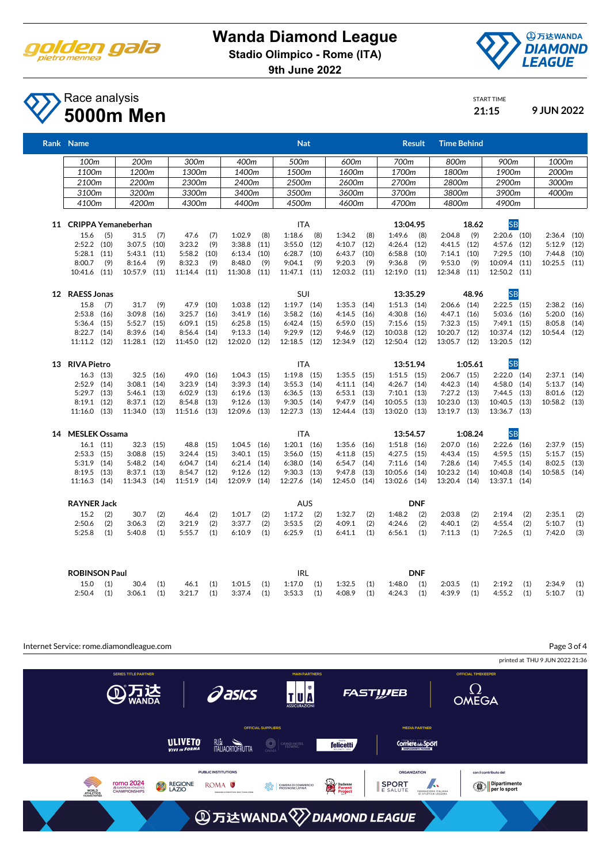

# **Wanda Diamond League**

**Stadio Olimpico - Rome (ITA)**

**9th June 2022**



START TIME

### Race analysis **5000m Men 21:15 9 JUN 2022**

| Rank Name                     |     |                        |             |                        |      |                        |      |                 | <b>Nat</b> |                        |      |                         | <b>Time Behind</b><br><b>Result</b> |                         |         |                              |     |                  |      |
|-------------------------------|-----|------------------------|-------------|------------------------|------|------------------------|------|-----------------|------------|------------------------|------|-------------------------|-------------------------------------|-------------------------|---------|------------------------------|-----|------------------|------|
| 100m                          |     | 200m                   |             | 300m                   |      | 400m                   |      | 500m            |            | 600m                   |      | 700m                    |                                     | 800m                    |         | 900m                         |     | 1000m            |      |
| 1100m                         |     | 1200m                  |             | 1300m                  |      | 1400m                  |      | 1500m           |            | 1600m                  |      | 1700m                   |                                     | 1800m                   |         | 1900m                        |     | 2000m            |      |
| 2100m                         |     | 2200m                  |             | 2300m                  |      | 2400m                  |      | 2500m           |            | 2600m                  |      | 2700m                   |                                     | 2800m                   |         | 2900m                        |     | 3000m            |      |
| 3100m                         |     | 3200m                  |             | 3300m                  |      | 3400m                  |      | 3500m           |            | 3600m                  |      | 3700m                   |                                     | 3800m                   |         | 3900m                        |     | 4000m            |      |
| 4100m                         |     | 4200m                  |             | 4300m                  |      | 4400m                  |      | 4500m           |            | 4600m                  |      | 4700m                   |                                     | 4800m                   |         | 4900m                        |     |                  |      |
| 11 CRIPPA Yemaneberhan        |     |                        |             |                        |      |                        |      | <b>ITA</b>      |            |                        |      | 13:04.95                |                                     |                         | 18.62   | <b>SB</b>                    |     |                  |      |
| 15.6                          | (5) | 31.5                   | (7)         | 47.6                   | (7)  | 1:02.9                 | (8)  | 1:18.6          | (8)        | 1:34.2                 | (8)  | 1:49.6                  | (8)                                 | 2:04.8                  | (9)     | $2:20.6$ (10)                |     | $2:36.4$ (10)    |      |
| $2:52.2$ (10)                 |     | $3:07.5$ (10)          |             | 3:23.2                 | (9)  | 3:38.8                 | (11) | 3:55.0          | (12)       | 4:10.7                 | (12) | 4:26.4                  | (12)                                | 4:41.5                  | (12)    | 4:57.6 (12)                  |     | 5:12.9           | (12) |
| $5:28.1$ $(11)$               |     | 5:43.1                 | (11)        | 5:58.2                 | (10) | 6:13.4                 | (10) | 6:28.7          | (10)       | 6:43.7                 | (10) | 6:58.8                  | (10)                                | $7:14.1$ (10)           |         | $7:29.5$ (10)                |     | 7:44.8           | (10) |
| 8:00.7                        | (9) | 8:16.4                 | (9)         | 8:32.3                 | (9)  | 8:48.0                 | (9)  | 9:04.1          | (9)        | 9:20.3                 | (9)  | 9:36.8                  | (9)                                 | 9:53.0                  | (9)     | 10:09.4 (11)                 |     | $10:25.5$ $(11)$ |      |
| 10:41.6 (11)                  |     | 10:57.9                | (11)        | 11:14.4 (11)           |      | $11:30.8$ (11)         |      | 11:47.1 (11)    |            | 12:03.2 (11)           |      | 12:19.0 (11)            |                                     | 12:34.8                 | (11)    | 12:50.2 (11)                 |     |                  |      |
| 12 RAESS Jonas                |     |                        |             |                        |      |                        |      | <b>SUI</b>      |            |                        |      | 13:35.29                |                                     |                         | 48.96   | <b>SB</b>                    |     |                  |      |
| 15.8                          | (7) | 31.7                   | (9)         | 47.9                   | (10) | $1:03.8$ $(12)$        |      | $1:19.7$ $(14)$ |            | $1:35.3$ $(14)$        |      | $1:51.3$ $(14)$         |                                     | $2:06.6$ (14)           |         | $2:22.5$ (15)                |     | $2:38.2$ (16)    |      |
| $2:53.8$ (16)                 |     | 3:09.8                 | (16)        | 3:25.7                 | (16) | $3:41.9$ (16)          |      | 3:58.2          | (16)       | 4:14.5                 | (16) | $4:30.8$ (16)           |                                     | $4:47.1$ $(16)$         |         | $5:03.6$ $(16)$              |     | 5:20.0           | (16) |
| $5:36.4$ (15)                 |     | 5:52.7                 | (15)        | 6:09.1                 | (15) | 6:25.8                 | (15) | 6:42.4          | (15)       | 6:59.0                 | (15) | $7:15.6$ (15)           |                                     | $7:32.3$ (15)           |         | $7:49.1$ (15)                |     | 8:05.8           | (14) |
| $8:22.7$ (14)<br>11:11.2 (12) |     | 8:39.6<br>11:28.1 (12) | (14)        | 8:56.4<br>11:45.0 (12) | (14) | 9:13.3<br>12:02.0 (12) | (14) | 9:29.9          | (12)       | 9:46.9<br>12:34.9 (12) | (12) | 10:03.8<br>12:50.4 (12) | (12)                                | 10:20.7<br>13:05.7 (12) | (12)    | 10:37.4 (12)<br>13:20.5 (12) |     | 10:54.4 (12)     |      |
|                               |     |                        |             |                        |      |                        |      | 12:18.5 (12)    |            |                        |      |                         |                                     |                         |         |                              |     |                  |      |
| 13 RIVA Pietro                |     |                        |             |                        |      |                        |      | <b>ITA</b>      |            |                        |      | 13:51.94                |                                     |                         | 1:05.61 | <b>SB</b>                    |     |                  |      |
| $16.3$ $(13)$                 |     |                        | 32.5 (16)   | 49.0                   | (16) | $1:04.3$ $(15)$        |      | $1:19.8$ (15)   |            | $1:35.5$ (15)          |      | $1:51.5$ (15)           |                                     | $2:06.7$ (15)           |         | $2:22.0$ $(14)$              |     | $2:37.1$ (14)    |      |
| $2:52.9$ (14)                 |     | $3:08.1$ (14)          |             | 3:23.9                 | (14) | $3:39.3$ $(14)$        |      | 3:55.3          | (14)       | $4:11.1$ $(14)$        |      | $4:26.7$ $(14)$         |                                     | $4:42.3$ $(14)$         |         | $4:58.0$ (14)                |     | $5:13.7$ $(14)$  |      |
| $5:29.7$ $(13)$               |     | $5:46.1$ (13)          |             | 6:02.9                 | (13) | $6:19.6$ $(13)$        |      | 6:36.5          | (13)       | $6:53.1$ $(13)$        |      | $7:10.1$ (13)           |                                     | $7:27.2$ (13)           |         | $7:44.5$ (13)                |     | 8:01.6           | (12) |
| $8:19.1$ (12)                 |     | $8:37.1$ (12)          |             | 8:54.8                 | (13) | $9:12.6$ (13)          |      | 9:30.5          | (14)       | $9:47.9$ (14)          |      | 10:05.5 (13)            |                                     | 10:23.0                 | (13)    | 10:40.5 (13)                 |     | 10:58.2 (13)     |      |
| $11:16.0$ (13)                |     | 11:34.0 (13)           |             | 11:51.6                | (13) | 12:09.6 (13)           |      | 12:27.3 (13)    |            | 12:44.4 (13)           |      | 13:02.0 (13)            |                                     | 13:19.7 (13)            |         | 13:36.7 (13)                 |     |                  |      |
| 14 MESLEK Ossama              |     |                        |             |                        |      |                        |      | <b>ITA</b>      |            |                        |      | 13:54.57                |                                     |                         | 1:08.24 | <b>SB</b>                    |     |                  |      |
| $16.1$ $(11)$                 |     |                        | $32.3$ (15) | 48.8                   | (15) | $1:04.5$ (16)          |      | $1:20.1$ $(16)$ |            | $1:35.6$ (16)          |      | $1:51.8$ (16)           |                                     | $2:07.0$ (16)           |         | $2:22.6$ (16)                |     | $2:37.9$ (15)    |      |
| $2:53.3$ (15)                 |     | 3:08.8                 | (15)        | 3:24.4                 | (15) | $3:40.1$ (15)          |      | 3:56.0          | (15)       | 4:11.8                 | (15) | $4:27.5$ $(15)$         |                                     | 4:43.4 (15)             |         | $4:59.5$ $(15)$              |     | $5:15.7$ $(15)$  |      |
| $5:31.9$ (14)                 |     | 5:48.2                 | (14)        | 6:04.7                 | (14) | $6:21.4$ $(14)$        |      | $6:38.0$ $(14)$ |            | $6:54.7$ $(14)$        |      | $7:11.6$ (14)           |                                     | 7:28.6                  | (14)    | $7:45.5$ (14)                |     | 8:02.5           | (13) |
| $8:19.5$ (13)                 |     | 8:37.1                 | (13)        | 8:54.7                 | (12) | $9:12.6$ (12)          |      | 9:30.3          | (13)       | 9:47.8                 | (13) | 10:05.6 (14)            |                                     | 10:23.2                 | (14)    | 10:40.8 (14)                 |     | 10:58.5 (14)     |      |
| 11:16.3 (14)                  |     | 11:34.3 (14)           |             | 11:51.9 (14)           |      | 12:09.9 (14)           |      | 12:27.6 (14)    |            | 12:45.0 (14)           |      | 13:02.6 (14)            |                                     | 13:20.4 (14)            |         | 13:37.1 (14)                 |     |                  |      |
| <b>RAYNER Jack</b>            |     |                        |             |                        |      |                        |      | <b>AUS</b>      |            |                        |      |                         | <b>DNF</b>                          |                         |         |                              |     |                  |      |
| 15.2                          | (2) | 30.7                   | (2)         | 46.4                   | (2)  | 1:01.7                 | (2)  | 1:17.2          | (2)        | 1:32.7                 | (2)  | 1:48.2                  | (2)                                 | 2:03.8                  | (2)     | 2:19.4                       | (2) | 2:35.1           | (2)  |
| 2:50.6                        | (2) | 3:06.3                 | (2)         | 3:21.9                 | (2)  | 3:37.7                 | (2)  | 3:53.5          | (2)        | 4:09.1                 | (2)  | 4:24.6                  | (2)                                 | 4:40.1                  | (2)     | 4:55.4                       | (2) | 5:10.7           | (1)  |
| 5:25.8                        | (1) | 5:40.8                 | (1)         | 5:55.7                 | (1)  | 6:10.9                 | (1)  | 6:25.9          | (1)        | 6:41.1                 | (1)  | 6:56.1                  | (1)                                 | 7:11.3                  | (1)     | 7:26.5                       | (1) | 7:42.0           | (3)  |
| <b>ROBINSON Paul</b>          |     |                        |             |                        |      |                        |      | IRL             |            |                        |      |                         | <b>DNF</b>                          |                         |         |                              |     |                  |      |
| 15.0                          | (1) | 30.4                   | (1)         | 46.1                   | (1)  | 1:01.5                 | (1)  | 1:17.0          | (1)        | 1:32.5                 | (1)  | 1:48.0                  | (1)                                 | 2:03.5                  | (1)     | 2:19.2                       | (1) | 2:34.9           | (1)  |
| 2:50.4                        | (1) | 3:06.1                 | (1)         | 3:21.7                 | (1)  | 3:37.4                 | (1)  | 3:53.3          | (1)        | 4:08.9                 | (1)  | 4:24.3                  | (1)                                 | 4:39.9                  | (1)     | 4:55.2                       | (1) | 5:10.7           | (1)  |

Internet Service: rome.diamondleague.com

Page 3 of 4

printed at THU 9 JUN 2022 21:36